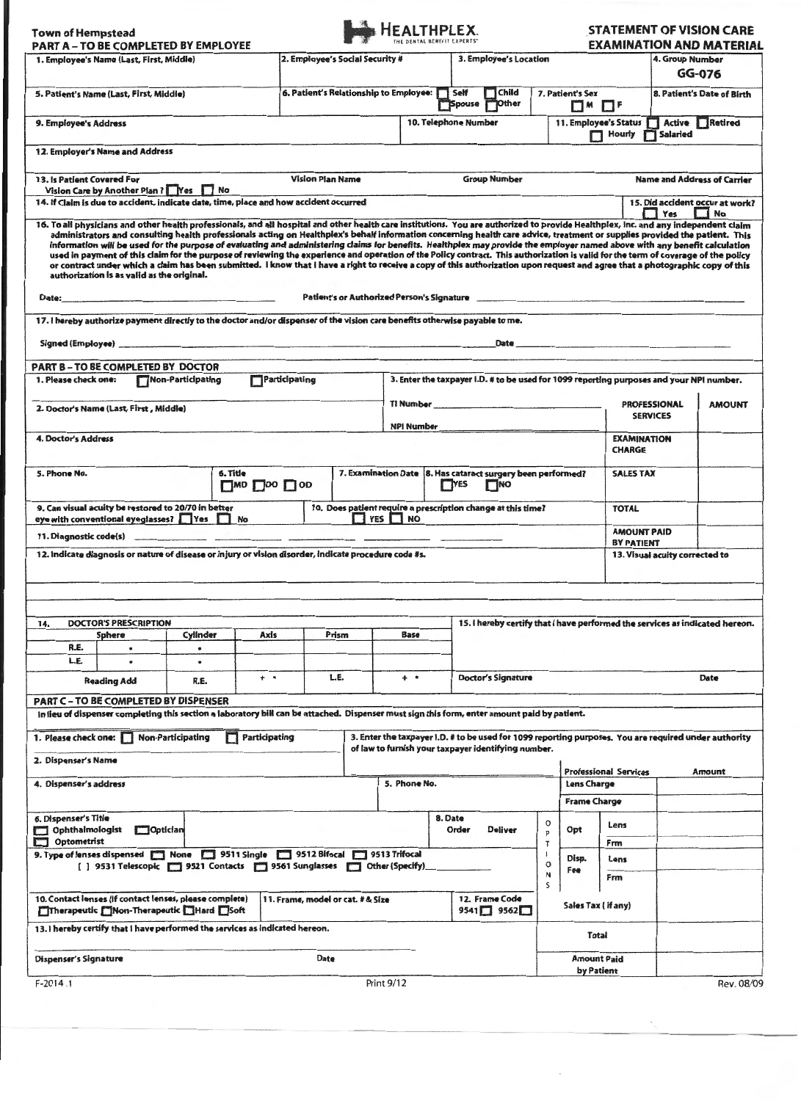| <b>Town of Hempstead</b>                                                                                                                                                                | <b>PART A - TO BE COMPLETED BY EMPLOYEE</b>                                                                                       |                          |  |               |                                                                                                                                                                                                                                      | HEALTHPLEX.                                                                                                     |                                                                                           |                                                                                                                                                                                                                                                                                                                                                                                                                                                                                                                                                                                                                                                                                                                                                                                                                                                                                                                           |                       |                                         |                              |                                                     | <b>STATEMENT OF VISION CARE</b><br><b>EXAMINATION AND MATERIAL</b>    |
|-----------------------------------------------------------------------------------------------------------------------------------------------------------------------------------------|-----------------------------------------------------------------------------------------------------------------------------------|--------------------------|--|---------------|--------------------------------------------------------------------------------------------------------------------------------------------------------------------------------------------------------------------------------------|-----------------------------------------------------------------------------------------------------------------|-------------------------------------------------------------------------------------------|---------------------------------------------------------------------------------------------------------------------------------------------------------------------------------------------------------------------------------------------------------------------------------------------------------------------------------------------------------------------------------------------------------------------------------------------------------------------------------------------------------------------------------------------------------------------------------------------------------------------------------------------------------------------------------------------------------------------------------------------------------------------------------------------------------------------------------------------------------------------------------------------------------------------------|-----------------------|-----------------------------------------|------------------------------|-----------------------------------------------------|-----------------------------------------------------------------------|
| 1. Employee's Name (Last, First, Middle)                                                                                                                                                |                                                                                                                                   |                          |  |               | 2. Employee's Social Security #                                                                                                                                                                                                      |                                                                                                                 |                                                                                           | 3. Employee's Location                                                                                                                                                                                                                                                                                                                                                                                                                                                                                                                                                                                                                                                                                                                                                                                                                                                                                                    |                       |                                         |                              | 4. Group Number<br>GG-076                           |                                                                       |
| 5. Patient's Name (Last, First, Middle)                                                                                                                                                 |                                                                                                                                   |                          |  |               | 6. Patient's Relationship to Employee: Self                                                                                                                                                                                          |                                                                                                                 |                                                                                           | $\Box$ Child<br>7. Patient's Sex<br><b>D</b> ther<br>TSpouse<br>$\Box$ M                                                                                                                                                                                                                                                                                                                                                                                                                                                                                                                                                                                                                                                                                                                                                                                                                                                  |                       |                                         | $\Box$                       |                                                     | 8. Patient's Date of Birth                                            |
| 9. Employee's Address                                                                                                                                                                   |                                                                                                                                   |                          |  |               |                                                                                                                                                                                                                                      |                                                                                                                 |                                                                                           | 10. Telephone Number                                                                                                                                                                                                                                                                                                                                                                                                                                                                                                                                                                                                                                                                                                                                                                                                                                                                                                      |                       |                                         | $\Box$ Hourly                | Active Retired<br>11. Employee's Status<br>Salaried |                                                                       |
|                                                                                                                                                                                         | 12. Employer's Name and Address                                                                                                   |                          |  |               |                                                                                                                                                                                                                                      |                                                                                                                 |                                                                                           |                                                                                                                                                                                                                                                                                                                                                                                                                                                                                                                                                                                                                                                                                                                                                                                                                                                                                                                           |                       |                                         |                              |                                                     |                                                                       |
| 13. Is Patient Covered For                                                                                                                                                              | Vision Care by Another Plan ?   Yes   No<br>14. If Claim is due to accident, indicate date, time, place and how accident occurred |                          |  |               | <b>Vision Plan Name</b>                                                                                                                                                                                                              |                                                                                                                 |                                                                                           | <b>Group Number</b>                                                                                                                                                                                                                                                                                                                                                                                                                                                                                                                                                                                                                                                                                                                                                                                                                                                                                                       |                       |                                         |                              |                                                     | <b>Name and Address of Carrier</b><br>15. Did accident occur at work? |
|                                                                                                                                                                                         | authorization is as valid as the original.                                                                                        |                          |  |               |                                                                                                                                                                                                                                      |                                                                                                                 |                                                                                           | 16. To all physicians and other health professionals, and all hospital and other health care institutions. You are authorized to provide Healthplex, Inc. and any independent claim<br>administrators and consulting health professionals acting on Healthplex's behalf information concerning health care advice, treatment or supplies provided the patient. This<br>information will be used for the purpose of evaluating and administering claims for benefits. Healthplex may provide the employer named above with any benefit calculation<br>used in payment of this claim for the purpose of reviewing the experience and operation of the Policy contract. This authorization is valid for the term of coverage of the policy<br>or contract under which a claim has been submitted. I know that I have a right to receive a copy of this authorization upon request and agree that a photographic copy of this |                       |                                         |                              | Yes                                                 | I No                                                                  |
| Date:                                                                                                                                                                                   | the company of the company of the company of the company of the company of                                                        |                          |  |               |                                                                                                                                                                                                                                      |                                                                                                                 |                                                                                           | Patient's or Authorized Person's Signature                                                                                                                                                                                                                                                                                                                                                                                                                                                                                                                                                                                                                                                                                                                                                                                                                                                                                |                       |                                         |                              |                                                     |                                                                       |
|                                                                                                                                                                                         | 17. I hereby authorize payment directly to the doctor and/or dispenser of the vision care benefits otherwise payable to me.       |                          |  |               |                                                                                                                                                                                                                                      |                                                                                                                 |                                                                                           |                                                                                                                                                                                                                                                                                                                                                                                                                                                                                                                                                                                                                                                                                                                                                                                                                                                                                                                           |                       |                                         |                              |                                                     |                                                                       |
|                                                                                                                                                                                         | PART B - TO BE COMPLETED BY DOCTOR                                                                                                | Non-Participating        |  |               |                                                                                                                                                                                                                                      |                                                                                                                 |                                                                                           |                                                                                                                                                                                                                                                                                                                                                                                                                                                                                                                                                                                                                                                                                                                                                                                                                                                                                                                           |                       |                                         |                              |                                                     |                                                                       |
| 1. Please check one:<br>2. Doctor's Name (Last, First, Middle)                                                                                                                          | Participating                                                                                                                     |                          |  |               | TI Number <b>Manual According to the Contract of the Contract of Times and Times and Times and Times and Times and Times and Times and Times and Times and Times and Times and Times and Times and Times and Times and Times and</b> | 3. Enter the taxpayer I.D. # to be used for 1099 reporting purposes and your NPI number.<br><b>PROFESSIONAL</b> |                                                                                           |                                                                                                                                                                                                                                                                                                                                                                                                                                                                                                                                                                                                                                                                                                                                                                                                                                                                                                                           | <b>AMOUNT</b>         |                                         |                              |                                                     |                                                                       |
| <b>4. Doctor's Address</b>                                                                                                                                                              |                                                                                                                                   |                          |  |               | NPI Number and the state of the state of the state of the state of the state of the state of the state of the                                                                                                                        |                                                                                                                 |                                                                                           |                                                                                                                                                                                                                                                                                                                                                                                                                                                                                                                                                                                                                                                                                                                                                                                                                                                                                                                           |                       | <b>SERVICES</b><br><b>EXAMINATION</b>   |                              |                                                     |                                                                       |
|                                                                                                                                                                                         |                                                                                                                                   |                          |  |               |                                                                                                                                                                                                                                      |                                                                                                                 |                                                                                           |                                                                                                                                                                                                                                                                                                                                                                                                                                                                                                                                                                                                                                                                                                                                                                                                                                                                                                                           |                       |                                         | <b>CHARGE</b>                |                                                     |                                                                       |
| 6. Title<br>5. Phone No.<br>$\Box$ MD $\Box$ DO $\Box$ OD                                                                                                                               |                                                                                                                                   |                          |  |               |                                                                                                                                                                                                                                      |                                                                                                                 | 7. Examination Date 8. Has cataract surgery been performed?<br><b>TINO</b><br><b>TYES</b> |                                                                                                                                                                                                                                                                                                                                                                                                                                                                                                                                                                                                                                                                                                                                                                                                                                                                                                                           |                       | <b>SALES TAX</b>                        |                              |                                                     |                                                                       |
| 9. Can visual acuity be restored to 20/70 in better<br>10. Does patient require a prescription change at this time?<br>$\Box$ YES $\Box$ NO<br>eye with conventional eyeglasses? Ves No |                                                                                                                                   |                          |  |               |                                                                                                                                                                                                                                      |                                                                                                                 |                                                                                           |                                                                                                                                                                                                                                                                                                                                                                                                                                                                                                                                                                                                                                                                                                                                                                                                                                                                                                                           |                       | <b>TOTAL</b>                            |                              |                                                     |                                                                       |
|                                                                                                                                                                                         |                                                                                                                                   |                          |  |               |                                                                                                                                                                                                                                      |                                                                                                                 |                                                                                           |                                                                                                                                                                                                                                                                                                                                                                                                                                                                                                                                                                                                                                                                                                                                                                                                                                                                                                                           |                       | <b>AMOUNT PAID</b><br><b>BY PATIENT</b> |                              |                                                     |                                                                       |
|                                                                                                                                                                                         | 12. indicate diagnosis or nature of disease or injury or vision disorder, indicate procedure code #s.                             |                          |  |               |                                                                                                                                                                                                                                      |                                                                                                                 |                                                                                           |                                                                                                                                                                                                                                                                                                                                                                                                                                                                                                                                                                                                                                                                                                                                                                                                                                                                                                                           |                       |                                         |                              | 13. Visual acuity corrected to                      |                                                                       |
|                                                                                                                                                                                         |                                                                                                                                   |                          |  |               |                                                                                                                                                                                                                                      |                                                                                                                 |                                                                                           |                                                                                                                                                                                                                                                                                                                                                                                                                                                                                                                                                                                                                                                                                                                                                                                                                                                                                                                           |                       |                                         |                              |                                                     |                                                                       |
| 14.                                                                                                                                                                                     | <b>DOCTOR'S PRESCRIPTION</b>                                                                                                      |                          |  |               |                                                                                                                                                                                                                                      |                                                                                                                 |                                                                                           | 15. I hereby certify that I have performed the services as indicated hereon.                                                                                                                                                                                                                                                                                                                                                                                                                                                                                                                                                                                                                                                                                                                                                                                                                                              |                       |                                         |                              |                                                     |                                                                       |
| R.E.<br>L.E.                                                                                                                                                                            | Sphere<br>٠<br>٠                                                                                                                  | Cylinder<br>٠            |  | Axis          | Prism                                                                                                                                                                                                                                | Base                                                                                                            |                                                                                           |                                                                                                                                                                                                                                                                                                                                                                                                                                                                                                                                                                                                                                                                                                                                                                                                                                                                                                                           |                       |                                         |                              |                                                     |                                                                       |
| <b>Reading Add</b><br>R.E.                                                                                                                                                              |                                                                                                                                   |                          |  | $+$ $\cdot$   | L.E.                                                                                                                                                                                                                                 |                                                                                                                 | <b>Doctor's Signature</b><br>$+$ $\cdot$                                                  |                                                                                                                                                                                                                                                                                                                                                                                                                                                                                                                                                                                                                                                                                                                                                                                                                                                                                                                           |                       |                                         |                              | Date                                                |                                                                       |
|                                                                                                                                                                                         | PART C - TO BE COMPLETED BY DISPENSER                                                                                             |                          |  |               |                                                                                                                                                                                                                                      |                                                                                                                 |                                                                                           | In lieu of dispenser completing this section a laboratory bill can be attached. Dispenser must sign this form, enter amount paid by patient.                                                                                                                                                                                                                                                                                                                                                                                                                                                                                                                                                                                                                                                                                                                                                                              |                       |                                         |                              |                                                     |                                                                       |
| 1. Please check one:                                                                                                                                                                    |                                                                                                                                   | <b>Non-Participating</b> |  | Participating |                                                                                                                                                                                                                                      |                                                                                                                 |                                                                                           | 3. Enter the taxpayer i.D. # to be used for 1099 reporting purposes. You are required under authority<br>of law to furnish your taxpayer identifying number.                                                                                                                                                                                                                                                                                                                                                                                                                                                                                                                                                                                                                                                                                                                                                              |                       |                                         |                              |                                                     |                                                                       |
| 2. Dispenser's Name                                                                                                                                                                     |                                                                                                                                   |                          |  |               |                                                                                                                                                                                                                                      |                                                                                                                 |                                                                                           |                                                                                                                                                                                                                                                                                                                                                                                                                                                                                                                                                                                                                                                                                                                                                                                                                                                                                                                           |                       |                                         | <b>Professional Services</b> | Amount                                              |                                                                       |
| 4. Dispenser's address                                                                                                                                                                  |                                                                                                                                   |                          |  |               |                                                                                                                                                                                                                                      | 5. Phone No.                                                                                                    |                                                                                           |                                                                                                                                                                                                                                                                                                                                                                                                                                                                                                                                                                                                                                                                                                                                                                                                                                                                                                                           |                       | Lens Charge<br><b>Frame Charge</b>      |                              |                                                     |                                                                       |
| 6. Dispenser's Title<br><b>Ophthalmologist</b><br>Optician<br>▭                                                                                                                         |                                                                                                                                   |                          |  |               |                                                                                                                                                                                                                                      |                                                                                                                 | 8. Date                                                                                   | <b>Deliver</b><br>Order                                                                                                                                                                                                                                                                                                                                                                                                                                                                                                                                                                                                                                                                                                                                                                                                                                                                                                   | o<br>p                | Opt                                     | Lens                         |                                                     |                                                                       |
| Optometrist<br><b>The State</b><br>9513 Trifocal [7] None [7] 9511 Single [7] 9512 Bifocal [7] 9513 Trifocal                                                                            |                                                                                                                                   |                          |  |               |                                                                                                                                                                                                                                      |                                                                                                                 |                                                                                           |                                                                                                                                                                                                                                                                                                                                                                                                                                                                                                                                                                                                                                                                                                                                                                                                                                                                                                                           | $\tau$                |                                         | Frm                          |                                                     |                                                                       |
| [ ] 9531 Telescopic   9521 Contacts   9561 Sunglasses   Other (Specify)                                                                                                                 |                                                                                                                                   |                          |  |               |                                                                                                                                                                                                                                      |                                                                                                                 |                                                                                           |                                                                                                                                                                                                                                                                                                                                                                                                                                                                                                                                                                                                                                                                                                                                                                                                                                                                                                                           | $\mathbf o$<br>N<br>s | Disp.<br>Fee                            | Lens<br>Frm                  |                                                     |                                                                       |
| 10. Contact lenses (if contact lenses, please complete)<br>11. Frame, model or cat. # & Size<br>Therapeutic Mon-Therapeutic Hard Soft                                                   |                                                                                                                                   |                          |  |               |                                                                                                                                                                                                                                      |                                                                                                                 |                                                                                           | 12. Frame Code<br>$9541$ $9562$ $\Box$                                                                                                                                                                                                                                                                                                                                                                                                                                                                                                                                                                                                                                                                                                                                                                                                                                                                                    |                       | Sales Tax (if any)                      |                              |                                                     |                                                                       |
| 13. I hereby certify that I have performed the services as indicated hereon.                                                                                                            |                                                                                                                                   |                          |  |               |                                                                                                                                                                                                                                      |                                                                                                                 |                                                                                           |                                                                                                                                                                                                                                                                                                                                                                                                                                                                                                                                                                                                                                                                                                                                                                                                                                                                                                                           |                       | <b>Total</b>                            |                              |                                                     |                                                                       |
| <b>Dispenser's Signature</b><br>Date                                                                                                                                                    |                                                                                                                                   |                          |  |               |                                                                                                                                                                                                                                      |                                                                                                                 |                                                                                           |                                                                                                                                                                                                                                                                                                                                                                                                                                                                                                                                                                                                                                                                                                                                                                                                                                                                                                                           |                       | <b>Amount Paid</b>                      |                              |                                                     |                                                                       |
| <b>Print 9/12</b><br>$F-2014.1$                                                                                                                                                         |                                                                                                                                   |                          |  |               |                                                                                                                                                                                                                                      |                                                                                                                 |                                                                                           |                                                                                                                                                                                                                                                                                                                                                                                                                                                                                                                                                                                                                                                                                                                                                                                                                                                                                                                           |                       | by Patient                              |                              |                                                     | Rev. 08/09                                                            |